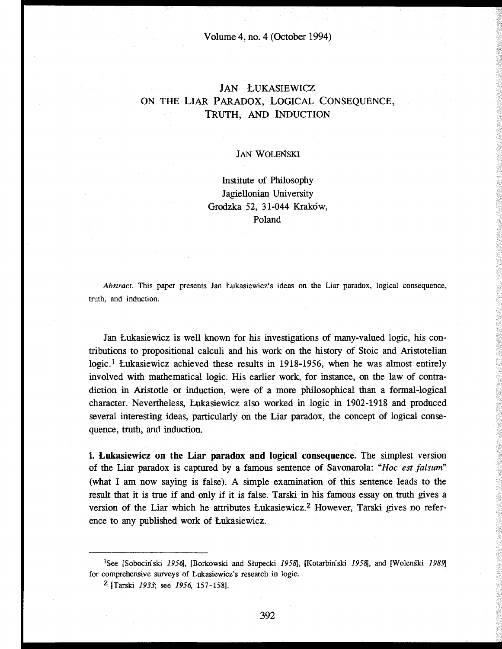## JAN LUKASIEWICZ ON THE LIAR PARADOX, LOGICAL CONSEQUENCE, TRUTH, AND INDUCTION

## JAN WOLEÑSKI

Institute of Philosophy Jagiellonian University Grodzka 52, 31-044 Krakow, Poland

*Abstract.* This paper presents Jan Lukasiewicz's ideas on the Liar paradox, logical consequence, truth, and induction.

Jan Lukasiewicz is well known for his investigations of many-valued logic, his contributions to propositional calculi and his work on the history of Stoic and Aristotelian logic.<sup>1</sup> Lukasiewicz achieved these results in 1918-1956, when he was almost entirely involved with mathematical logic. His earlier work, for instance, on the law of contradiction in Aristotle or induction, were of a more philosophical than a formal-logical character. Nevertheless, Lukasiewicz also worked in logic in 1902-1918 and produced several interesting ideas, particularly on the Liar paradox, the concept of logical consequence, truth, and induction.

**1. Lukasiewicz on the Liar paradox and logical consequence.** The simplest version of the Liar paradox is captured by a famous sentence of Savonarola: *"Hoc est falsum"* (what I am now saying is false). A simple examination of this sentence leads to the result that it is true if and only if it is false. Tarski in his famous essay on truth gives a version of the Liar which he attributes Łukasiewicz.<sup>2</sup> However, Tarski gives no reference to any published work of Lukasiewicz.

<sup>&</sup>lt;sup>1</sup>See [Sobocin ski 1956], [Borkowski and Słupecki 1958], [Kotarbin ski 1958], and [Wolen ski 1989] for comprehensive surveys of Lukasiewicz's research in logic.

<sup>2</sup> [Tarski *1933;* see *1956,* 157-158].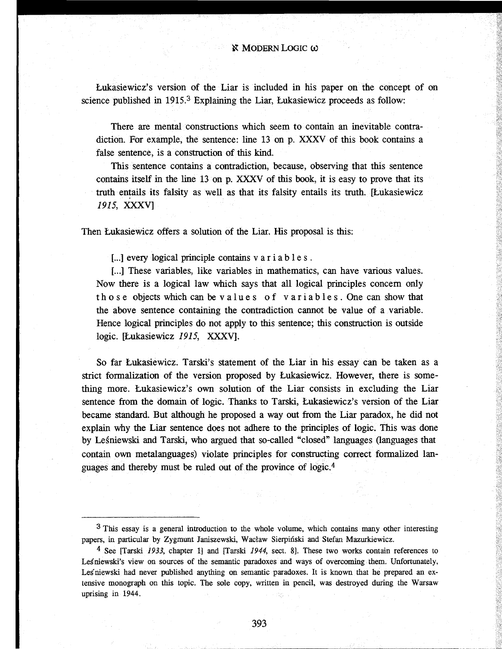Lukasiewicz's version of the Liar is included in his paper on the concept of on science published in 1915.<sup>3</sup> Explaining the Liar, Łukasiewicz proceeds as follow:

There are mental constructions which seem to contain an inevitable contra diction. For example, the sentence: line 13 on p. XXXV of this book contains a false sentence, is a construction of this kind.

This sentence contains a contradiction, because, observing that this sentence contains itself in the line 13 on p. XXXV of this book, it is easy to prove that its truth entails its falsity as well as that its falsity entails its truth. [Lukasiewicz *1915,* XXXV]

Then Lukasiewicz offers a solution of the Liar. His proposal is this:

[...] every logical principle contains variables.

[...] These variables, like variables in mathematics, can have various values. Now there is a logical law which says that all logical principles concern only thos e objects which can bevalue s of variables . One can show that the above sentence containing the contradiction cannot be value of a variable. Hence logical principles do not apply to this sentence; this construction is outside logic. [Lukasiewicz *1915,* XXXV].

So far Lukasiewicz. Tarski's statement of the Liar in his essay can be taken as a strict formalization of the version proposed by Lukasiewicz. However, there is some thing more. Lukasiewicz's own solution of the Liar consists in excluding the Liar sentence from the domain of logic. Thanks to Tarski, Lukasiewicz's version of the Liar became standard. But although he proposed a way out from the Liar paradox, he did not explain why the Liar sentence does not adhere to the principles of logic. This was done by Lesniewski and Tarski, who argued that so-called "closed" languages (languages that contain own metalanguages) violate principles for constructing correct formalized lan guages and thereby must be ruled out of the province of logic.<sup>4</sup>

<sup>&</sup>lt;sup>3</sup> This essay is a general introduction to the whole volume, which contains many other interesting papers, in particular by Zygmunt Janiszewski, Waciaw Sierpiñski and Stefan Mazurkiewicz.

<sup>4</sup> See [Tarski *1933,* chapter 1] and [Tarski *1944,* sect. 8]. These two works contain references to Les'niewski's view on sources of the semantic paradoxes and ways of overcoming them. Unfortunately, Les'niewski had never published anything on semantic paradoxes. It is known that he prepared an extensive monograph on this topic. The sole copy, written in pencil, was destroyed during the Warsaw uprising in 1944.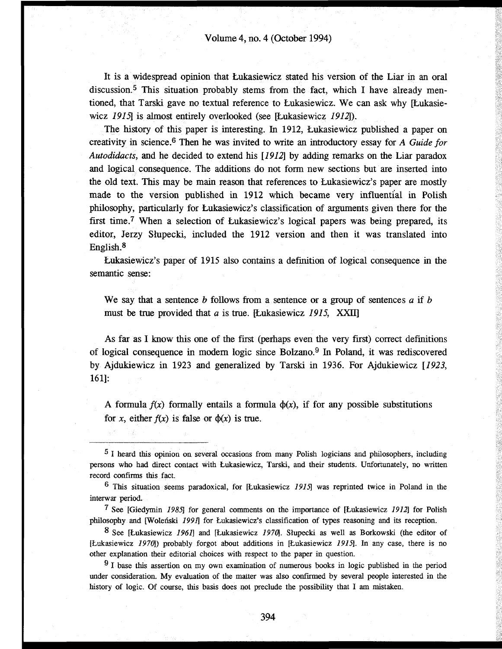It is a widespread opinion that Lukasiewicz stated his version of the Liar in an oral discussion.<sup>5</sup> This situation probably stems from the fact, which I have already men tioned, that Tarski gave no textual reference to Lukasiewicz. We can ask why [Lukasie wicz 1915] is almost entirely overlooked (see [Lukasiewicz 1912]).

The history of this paper is interesting. In 1912, Lukasiewicz published a paper on creativity in science.<sup>6</sup> Then he was invited to write an introductory essay for *A Guide for Autodidacts,* and he decided to extend his *[1912\* by adding remarks on the Liar paradox and logical consequence. The additions do not form new sections but are inserted into the old text. This may be main reason that references to Lukasiewicz's paper are mostly made to the version published in 1912 which became very influential in Polish philosophy, particularly for Lukasiewicz's classification of arguments given there for the first time.<sup>7</sup> When a selection of Lukasiewicz's logical papers was being prepared, its editor, Jerzy Słupecki, included the 1912 version and then it was translated into English.<sup>8</sup>

Lukasiewicz's paper of 1915 also contains a definition of logical consequence in the semantic sense:

We say that a sentence *b* follows from a sentence or a group of sentences *a* if *b* must be true provided that *a* is true. [Lukasiewicz 1915, XXII]

As far as I know this one of the first (perhaps even the very first) correct definitions of logical consequence in modern logic since Bolzano.<sup>9</sup> In Poland, it was rediscovered by Ajdukiewicz in 1923 and generalized by Tarski in 1936. For Ajdukiewicz *[1923,* 161]:

A formula  $f(x)$  formally entails a formula  $\phi(x)$ , if for any possible substitutions for *x*, either  $f(x)$  is false or  $\phi(x)$  is true.

6 This situation seems paradoxical, for [Lukasiewicz *1915]* was reprinted twice in Poland in the interwar period.

7 See [Giedymin *1985\* for general comments on the importance of [Lukasiewicz *1912)* for Polish philosophy and [Wolenski *1991]* for Lukasiewicz's classification of types reasoning and its reception.

8 See [Lukasiewicz *1961]* and [Lukasiewicz *1970].* Slupecki as well as Borkowski (the editor of [Lukasiewicz *1970])* probably forgot about additions in [Lukasiewicz *1915].* In any case, there is no other explanation their editorial choices with respect to the paper in question.

<sup>9</sup> I base this assertion on my own examination of numerous books in logic published in the period under consideration. My evaluation of the matter was also confirmed by several people interested in the history of logic. Of course, this basis does not preclude the possibility that I am mistaken.

<sup>&</sup>lt;sup>5</sup> I heard this opinion on several occasions from many Polish logicians and philosophers, including persons who had direct contact with Lukasiewicz, Tarski, and their students. Unfortunately, no written record confirms this fact.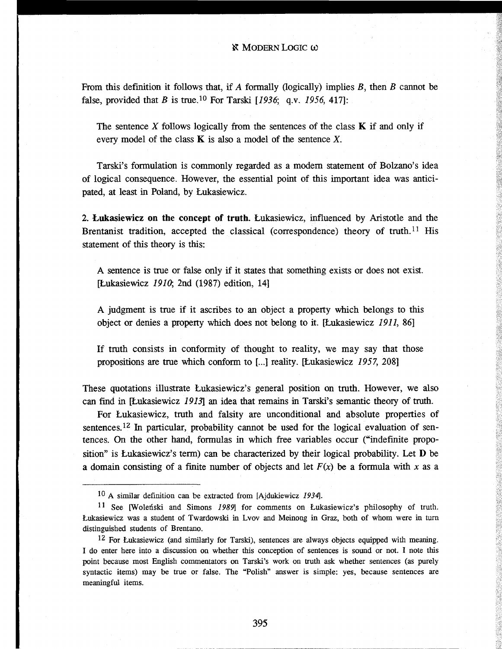From this definition it follows that, if *A* formally (logically) implies *B,* then *В* cannot be false, provided that *В* is true.<sup>10</sup> For Tarski *[1936;* q.v. *1956,* 417]:

The sentence  $X$  follows logically from the sentences of the class  $K$  if and only if every model of the class К is also a model of the sentence *X.*

Tarski's formulation is commonly regarded as a modern statement of Bolzano's idea of logical consequence. However, the essential point of this important idea was antici pated, at least in Poland, by Lukasiewicz.

2. **Lukasiewicz on the concept of truth.** Lukasiewicz, influenced by Aristotle and the Brentanist tradition, accepted the classical (correspondence) theory of truth.<sup>11</sup> His statement of this theory is this:

A sentence is true or false only if it states that something exists or does not exist. [Lukasiewicz *1910,* 2nd (1987) edition, 14]

A judgment is true if it ascribes to an object a property which belongs to this object or denies a property which does not belong to it. [Lukasiewicz *1911,* 86]

If truth consists in conformity of thought to reality, we may say that those propositions are true which conform to [...] reality. [Lukasiewicz *1957,* 208]

These quotations illustrate Lukasiewicz's general position on truth. However, we also can find in [Lukasiewicz *1913]* an idea that remains in Tarski's semantic theory of truth.

For Lukasiewicz, truth and falsity are unconditional and absolute properties of sentences.<sup>12</sup> In particular, probability cannot be used for the logical evaluation of sen tences. On the other hand, formulas in which free variables occur ("indefinite propo sition" is Lukasiewicz's term) can be characterized by their logical probability. Let D be a domain consisting of a finite number of objects and let  $F(x)$  be a formula with x as a

<sup>1</sup> 0 A similar definition can be extracted from [Ajdukiewicz *193Щ.*

<sup>&</sup>lt;sup>11</sup> See [Woleński and Simons 1989] for comments on Lukasiewicz's philosophy of truth. Lukasiewicz was a student of Twardowski in Lvov and Meinong in Graz, both of whom were in turn distinguished students of Brentano.

 $12$  For Lukasiewicz (and similarly for Tarski), sentences are always objects equipped with meaning. I do enter here into a discussion on whether this conception of sentences is sound or not. I note this point because most English commentators on Tarski's work on truth ask whether sentences (as purely syntactic items) may be true or false. The "Polish" answer is simple: yes, because sentences are meaningful items.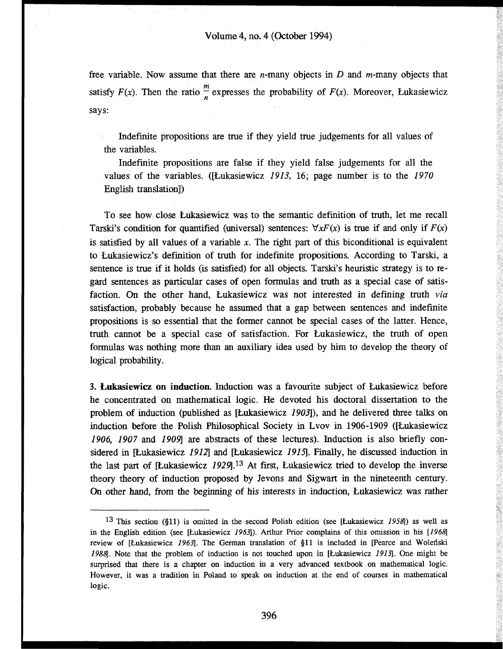free variable. Now assume that there are n-many objects in *D* and m-many objects that satisfy  $F(x)$ . Then the ratio  $\frac{m}{x}$  expresses the probability of  $F(x)$ . Moreover, Lukasiewicz says:

Indefinite propositions are true if they yield true judgements for all values of the variables.

Indefinite propositions are false if they yield false judgements for all the values of the variables. ([Lukasiewicz *1913,* 16; page number is to the *1970* English translation])

To see how close Lukasiewicz was to the semantic definition of truth, let me recall Tarski's condition for quantified (universal) sentences:  $\forall x F(x)$  is true if and only if  $F(x)$ is satisfied by all values of a variable *x.* The right part of this biconditional is equivalent to Lukasiewicz's definition of truth for indefinite propositions. According to Tarski, a sentence is true if it holds (is satisfied) for all objects. Tarski's heuristic strategy is to re gard sentences as particular cases of open formulas and truth as a special case of satis faction. On the other hand, Lukasiewicz was not interested in defining truth *via* satisfaction, probably because he assumed that a gap between sentences and indefinite propositions is so essential that the former cannot be special cases of the latter. Hence, truth cannot be a special case of satisfaction. For Lukasiewicz, the truth of open formulas was nothing more than an auxiliary idea used by him to develop the theory of logical probability.

3. **Lukasiewicz on induction.** Induction was a favourite subject of Lukasiewicz before he concentrated on mathematical logic. He devoted his doctoral dissertation to the problem of induction (published as [Lukasiewicz *1903]),* and he delivered three talks on induction before the Polish Philosophical Society in Lvov in 1906-1909 ([Lukasiewicz *1906, 1907* and *1909]* are abstracts of these lectures). Induction is also briefly con sidered in [Lukasiewicz *1912]* and [Lukasiewicz *1915].* Finally, he discussed induction in the last part of [Lukasiewicz *1929].<sup>13</sup>* At first, Lukasiewicz tried to develop the inverse theory theory of induction proposed by Jevons and Sigwart in the nineteenth century. On other hand, from the beginning of his interests in induction, Lukasiewicz was rather

<sup>1</sup> 3 This section (§11) is omitted in the second Polish edition (see [Lukasiewicz *1958])* as well as in the English edition (see [Lukasiewicz /963]). Arthur Prior complains of this omission in his *[1968\* review of [Lukasiewicz *1963\.* The German translation of §11 is included in [Pearce and Wolenski *198\$.* Note that the problem of induction is not touched upon in [Lukasiewicz *19Щ.* One might be surprised that there is a chapter on induction in a very advanced textbook on mathematical logic. However, it was a tradition in Poland to speak on induction at the end of courses in mathematical logic.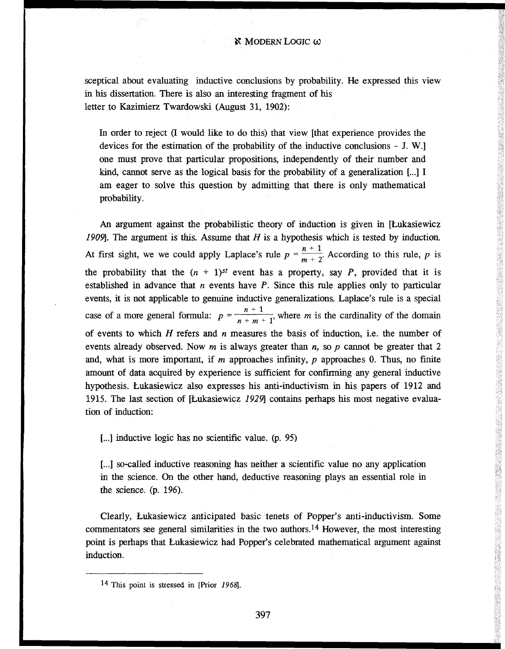sceptical about evaluating inductive conclusions by probability. He expressed this view in his dissertation. There is also an interesting fragment of his letter to Kazimierz Twardowski (August 31, 1902):

In order to reject (I would like to do this) that view [that experience provides the devices for the estimation of the probability of the inductive conclusions - J. W.] one must prove that particular propositions, independently of their number and kind, cannot serve as the logical basis for the probability of a generalization [...] I am eager to solve this question by admitting that there is only mathematical probability.

An argument against the probabilistic theory of induction is given in [Lukasiewicz 1909. The argument is this. Assume that  $H$  is a hypothesis which is tested by induction. At first sight, we we could apply Laplace's rule  $p = \frac{n+1}{n+2}$ . According to this rule, p is *m* the probability that the  $(n + 1)^{st}$  event has a property, say P, provided that it is established in advance that *n* events have *P.* Since this rale applies only to particular events, it is not applicable to genuine inductive generalizations. Laplace's rule is a special case of a more general formula:  $p = \frac{n+1}{n+m+1}$ , where *m* is the cardinality of the domain of events to which *H* refers and и measures the basis of induction, i.e. the number of events already observed. Now *m* is always greater than *n,* so *p* cannot be greater that 2 and, what is more important, if m approaches infinity, *p* approaches 0. Thus, no finite amount of data acquired by experience is sufficient for confirming any general inductive hypothesis. Lukasiewicz also expresses his anti-inductivism in his papers of 1912 and 1915. The last section of [Lukasiewicz *1929\* contains perhaps his most negative evalua tion of induction:

[...] inductive logic has no scientific value. (p. 95)

[...] so-called inductive reasoning has neither a scientific value no any application in the science. On the other hand, deductive reasoning plays an essential role in the science, (p. 196).

Clearly, Lukasiewicz anticipated basic tenets of Popper's anti-inductivism. Some commentators see general similarities in the two authors.<sup>14</sup> However, the most interesting point is perhaps that Lukasiewicz had Popper's celebrated mathematical argument against induction.

**L**

<sup>&</sup>lt;sup>14</sup> This point is stressed in [Prior 1968].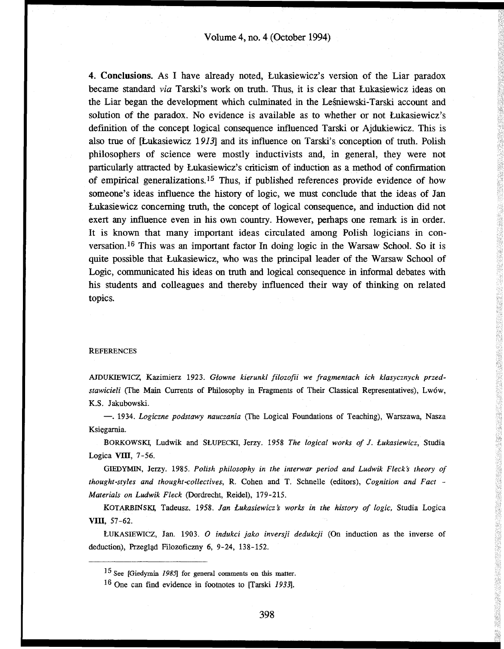**4. Conclusions.** As **I** have already noted, Lukasiewicz's version of the Liar paradox became standard *via* Tarski's work on truth. Thus, it is clear that Lukasiewicz ideas on the Liar began the development which culminated in the Lesniewski-Tarski account and solution of the paradox. No evidence is available as to whether or not Lukasiewicz's definition of the concept logical consequence influenced Tarski or Ajdukiewicz. This is also true of [Lukasiewicz *19Щ* and its influence on Tarski's conception of truth. Polish philosophers of science were mostly inductivists and, in general, they were not particularly attracted by Lukasiewicz's criticism of induction as a method of confirmation of empirical generalizations.<sup>15</sup> Thus, if published references provide evidence of how someone's ideas influence the history of logic, we must conclude that the ideas of Jan Lukasiewicz concerning truth, the concept of logical consequence, and induction did not exert any influence even in his own country. However, perhaps one remark is in order. It is known that many important ideas circulated among Polish logicians in con versation.<sup>16</sup> This was an important factor In doing logic in the Warsaw School. So it is quite possible that Lukasiewicz, who was the principal leader of the Warsaw School of Logic, communicated his ideas on truth and logical consequence in informal debates with his students and colleagues and thereby influenced their way of thinking on related topics.

## **REFERENCES**

AJDUKIEWICZ, Kazimierz 1923. *Gtowne kierunkl filozofii we fragmentach ich klasycznych przedstawicieli* (The Main Currents of Philosophy in Fragments of Their Classical Representatives), Lwów, K.S. Jakubowski.

—. 1934. *Logiczne podstawy nauczania* (The Logical Foundations of Teaching), Warszawa, Nasza Ksiçgarnia.

BORKOWSKI, Ludwik and SLUPECKI, Jerzy. 1958 *The logical works of J. Lukasiewicz,* Studia Logica **Vni,** 7-56.

GIEDYMIN, Jerzy. 1985. *Polish philosophy in the interwar period and Ludwik Fleck's theory of thought-styles and thought-collectives,* R. Cohen and T. Schnelle (editors), *Cognition and Fact - Materials on Ludwik Fleck* (Dordrecht, Reidel), 179-215.

KOTARBINSKI, Tadeusz. 1958. *Jan Lukasiewicz's works in the history of logic,* Studia Logica **Vili,** 57-62.

LUKASIEWICZ, Jan. 1903. *О indukci jako inversji dedukcji* (On induction as the inverse of deduction), Przeglad Filozoficzny 6, 9-24, 138-152.

<sup>&</sup>lt;sup>15</sup> See [Giedymin *1985*] for general comments on this matter.

<sup>&</sup>lt;sup>16</sup> One can find evidence in footnotes to [Tarski 1933].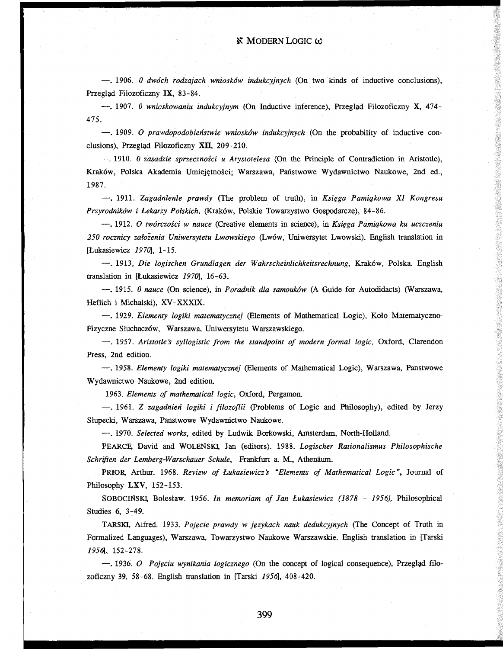—. 1906. *0 dwóch rodzajach wniosków indukcyjnych* (On two kinds of inductive conclusions), Przeglad Filozoficzny **IX,** 83-84.

—. 1907. *0 wnioskowaniu indukcyjnym* (On Inductive inference), Przeglad Filozoficzny X, 474- 475.

—. 1909. *O prawdopodobieiístwie wniosków indukcyjnych* (On the probability of inductive conclusions), Przeglad Filozoficzny **XII,** 209-210.

—. 1910. *0 zasadzie sprzecznosci и Arystotelesa* (On the Principle of Contradiction in Aristotle), Kraków, Polska Akademia Umiejetności; Warszawa, Państwowe Wydawnictwo Naukowe, 2nd ed., 1987.

—. 1911. *Zagadnlenle prawdy* (The problem of truth), in *Ksiega Pamiqkowa XI Kongresu Przyrodników i Lekarzy Polskich,* (Krakow, Polskié Towarzystwo Gospodarcze), 84-86.

—. 1912. *О twórczosci w nauce* (Creative elements in science), in *Ksiega Pamiakowa ku uczczeniu 250 rocznicy zatozenia Uniwersytetu Lwowskiego* (Lwów, Uniwersytet Lwowski). English translation in [Lukasiewicz *1970],* 1-15.

—. 1913, *Die logischen Grundlagen der Wahrscheinlichkeitsrechnung,* Krakow, Polska. English translation in [Lukasiewicz *1970],* 16-63.

—.1915. *0 nauce* (On science), in *Poradnik dia samouków* (A Guide for Autodidacts) (Warszawa, Heflich i Michalski), XV-XXXIX.

—. 1929. *Elementy logiki matematycznej* (Elements of Mathematical Logic), Kolo Matematyczno-Fizyczne Sluchaczów, Warszawa, Uniwersytetu Warszawskiego.

—. 1957. *Aristotle's syllogistic from the standpoint of modern formal logic,* Oxford, Clarendon Press, 2nd edition.

—. 1958. *Elementy logiki matematycznej* (Elements of Mathematical Logic), Warszawa, Panstwowe Wydawnictwo Naukowe, 2nd edition.

1963. *Elements of mathematical logic,* Oxford, Pergamon.

—. 1961. Z *zagadnien logiki i filozoflii* (Problems of Logic and Philosophy), edited by Jerzy Slupecki, Warszawa, Panstwowe Wydawnictwo Naukowe.

—. 1970. *Selected works,* edited by Ludwik Borkowski, Amsterdam, North-Holland.

PEARCE, David and WOLENSKI, Jan (editors). 1988. *Logischer Rationalismus Philosophische Schriften der Lemberg-Warschauer Schule,* Frankfurt a. M., Athenäum.

PRIOR, Arthur. 1968. *Review of Lukasiewicz's "Elements of Mathematical Logic",* Journal of Philosophy **LXV,** 152-153.

SOBOCIŃSKI, Bolesław. 1956. In memoriam of Jan Łukasiewicz (1878 - 1956), Philosophical Studies 6, 3-49.

TARSKI, Alfred. 1933. *Pojecie prawdy w jezykach паик dedukcyjnych* (The Concept of Truth in Formalized Languages), Warszawa, Towarzystwo Naukowe Warszawskie. English translation in [Tarski *1956],* 152-278.

—. 1936. *O Pojeciu wynikania logicznego* (On the concept of logical consequence), Przeglad filo zoficzny 39, 58-68. English translation in [Tarski *1956],* 408-420.